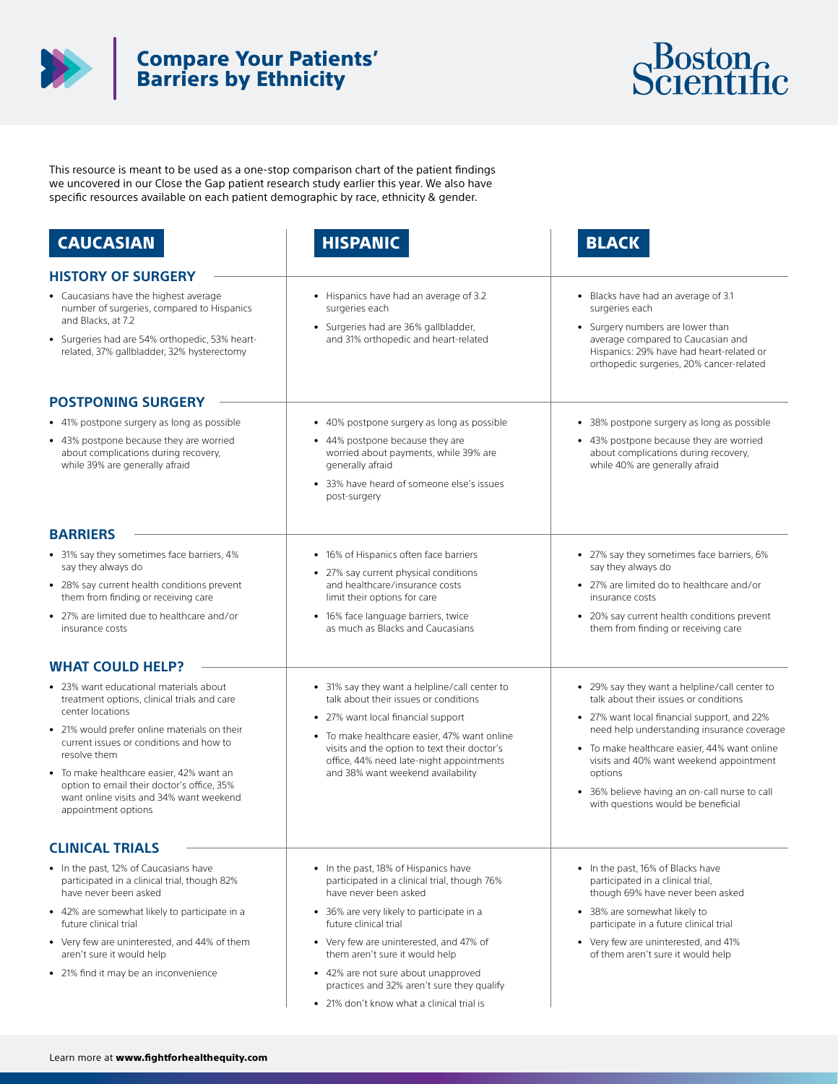

## Compare Your Patients' Barriers by Ethnicity



This resource is meant to be used as a one-stop comparison chart of the patient findings we uncovered in our Close the Gap patient research study earlier this year. We also have specific resources available on each patient demographic by race, ethnicity & gender.

| <b>CAUCASIAN</b>                                                                                                                                                                                                                                                                                                                                                                 | <b>HISPANIC</b>                                                                                                                                                                                                                                                                                               | <b>BLACK</b>                                                                                                                                                                                                                                                                                                                                                                     |
|----------------------------------------------------------------------------------------------------------------------------------------------------------------------------------------------------------------------------------------------------------------------------------------------------------------------------------------------------------------------------------|---------------------------------------------------------------------------------------------------------------------------------------------------------------------------------------------------------------------------------------------------------------------------------------------------------------|----------------------------------------------------------------------------------------------------------------------------------------------------------------------------------------------------------------------------------------------------------------------------------------------------------------------------------------------------------------------------------|
| <b>HISTORY OF SURGERY</b>                                                                                                                                                                                                                                                                                                                                                        |                                                                                                                                                                                                                                                                                                               |                                                                                                                                                                                                                                                                                                                                                                                  |
| • Caucasians have the highest average<br>number of surgeries, compared to Hispanics<br>and Blacks, at 7.2<br>• Surgeries had are 54% orthopedic, 53% heart-<br>related, 37% gallbladder, 32% hysterectomy                                                                                                                                                                        | • Hispanics have had an average of 3.2<br>surgeries each<br>• Surgeries had are 36% gallbladder,<br>and 31% orthopedic and heart-related                                                                                                                                                                      | • Blacks have had an average of 3.1<br>surgeries each<br>• Surgery numbers are lower than<br>average compared to Caucasian and<br>Hispanics: 29% have had heart-related or<br>orthopedic surgeries, 20% cancer-related                                                                                                                                                           |
| <b>POSTPONING SURGERY</b>                                                                                                                                                                                                                                                                                                                                                        |                                                                                                                                                                                                                                                                                                               |                                                                                                                                                                                                                                                                                                                                                                                  |
| • 41% postpone surgery as long as possible                                                                                                                                                                                                                                                                                                                                       | • 40% postpone surgery as long as possible                                                                                                                                                                                                                                                                    | 38% postpone surgery as long as possible                                                                                                                                                                                                                                                                                                                                         |
| • 43% postpone because they are worried<br>about complications during recovery,<br>while 39% are generally afraid                                                                                                                                                                                                                                                                | • 44% postpone because they are<br>worried about payments, while 39% are<br>generally afraid<br>• 33% have heard of someone else's issues<br>post-surgery                                                                                                                                                     | • 43% postpone because they are worried<br>about complications during recovery,<br>while 40% are generally afraid                                                                                                                                                                                                                                                                |
| <b>BARRIERS</b>                                                                                                                                                                                                                                                                                                                                                                  |                                                                                                                                                                                                                                                                                                               |                                                                                                                                                                                                                                                                                                                                                                                  |
| • 31% say they sometimes face barriers, 4%<br>say they always do<br>• 28% say current health conditions prevent                                                                                                                                                                                                                                                                  | • 16% of Hispanics often face barriers<br>• 27% say current physical conditions<br>and healthcare/insurance costs                                                                                                                                                                                             | • 27% say they sometimes face barriers, 6%<br>say they always do<br>• 27% are limited do to healthcare and/or                                                                                                                                                                                                                                                                    |
| them from finding or receiving care                                                                                                                                                                                                                                                                                                                                              | limit their options for care                                                                                                                                                                                                                                                                                  | insurance costs                                                                                                                                                                                                                                                                                                                                                                  |
| • 27% are limited due to healthcare and/or<br>insurance costs                                                                                                                                                                                                                                                                                                                    | • 16% face language barriers, twice<br>as much as Blacks and Caucasians                                                                                                                                                                                                                                       | • 20% say current health conditions prevent<br>them from finding or receiving care                                                                                                                                                                                                                                                                                               |
| <b>WHAT COULD HELP?</b>                                                                                                                                                                                                                                                                                                                                                          |                                                                                                                                                                                                                                                                                                               |                                                                                                                                                                                                                                                                                                                                                                                  |
| • 23% want educational materials about<br>treatment options, clinical trials and care<br>center locations<br>• 21% would prefer online materials on their<br>current issues or conditions and how to<br>resolve them<br>• To make healthcare easier, 42% want an<br>option to email their doctor's office, 35%<br>want online visits and 34% want weekend<br>appointment options | • 31% say they want a helpline/call center to<br>talk about their issues or conditions<br>• 27% want local financial support<br>• To make healthcare easier, 47% want online<br>visits and the option to text their doctor's<br>office, 44% need late-night appointments<br>and 38% want weekend availability | • 29% say they want a helpline/call center to<br>talk about their issues or conditions<br>• 27% want local financial support, and 22%<br>need help understanding insurance coverage<br>• To make healthcare easier, 44% want online<br>visits and 40% want weekend appointment<br>options<br>• 36% believe having an on-call nurse to call<br>with questions would be beneficial |
| <b>CLINICAL TRIALS</b>                                                                                                                                                                                                                                                                                                                                                           |                                                                                                                                                                                                                                                                                                               |                                                                                                                                                                                                                                                                                                                                                                                  |
| • In the past, 12% of Caucasians have<br>participated in a clinical trial, though 82%<br>have never been asked                                                                                                                                                                                                                                                                   | • In the past, 18% of Hispanics have<br>participated in a clinical trial, though 76%<br>have never been asked                                                                                                                                                                                                 | • In the past, 16% of Blacks have<br>participated in a clinical trial,<br>though 69% have never been asked                                                                                                                                                                                                                                                                       |
| • 42% are somewhat likely to participate in a<br>future clinical trial                                                                                                                                                                                                                                                                                                           | • 36% are very likely to participate in a<br>future clinical trial                                                                                                                                                                                                                                            | • 38% are somewhat likely to<br>participate in a future clinical trial                                                                                                                                                                                                                                                                                                           |
| • Very few are uninterested, and 44% of them<br>aren't sure it would help                                                                                                                                                                                                                                                                                                        | • Very few are uninterested, and 47% of<br>them aren't sure it would help                                                                                                                                                                                                                                     | • Very few are uninterested, and 41%<br>of them aren't sure it would help                                                                                                                                                                                                                                                                                                        |
| • 21% find it may be an inconvenience                                                                                                                                                                                                                                                                                                                                            | • 42% are not sure about unapproved<br>practices and 32% aren't sure they qualify                                                                                                                                                                                                                             |                                                                                                                                                                                                                                                                                                                                                                                  |
|                                                                                                                                                                                                                                                                                                                                                                                  | • 21% don't know what a clinical trial is                                                                                                                                                                                                                                                                     |                                                                                                                                                                                                                                                                                                                                                                                  |